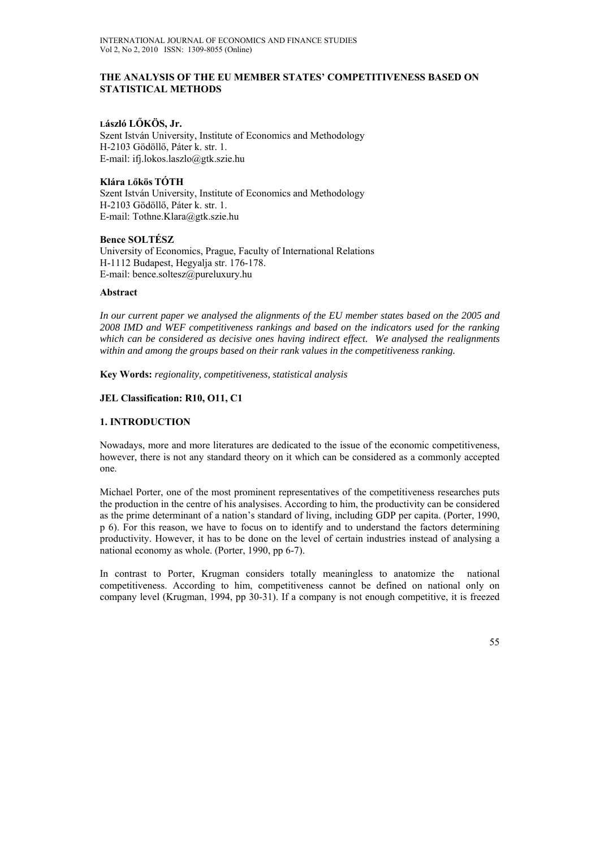#### **THE ANALYSIS OF THE EU MEMBER STATES' COMPETITIVENESS BASED ON STATISTICAL METHODS**

#### **László LŐKÖS, Jr.**

Szent István University, Institute of Economics and Methodology H-2103 Gödöllő, Páter k. str. 1. E-mail: ifj.lokos.laszlo@gtk.szie.hu

# **Klára Lőkös TÓTH**

Szent István University, Institute of Economics and Methodology H-2103 Gödöllő, Páter k. str. 1. E-mail: Tothne.Klara@gtk.szie.hu

#### **Bence SOLTÉSZ**

University of Economics, Prague, Faculty of International Relations H-1112 Budapest, Hegyalja str. 176-178. E-mail: bence.soltesz@pureluxury.hu

#### **Abstract**

*In our current paper we analysed the alignments of the EU member states based on the 2005 and 2008 IMD and WEF competitiveness rankings and based on the indicators used for the ranking which can be considered as decisive ones having indirect effect. We analysed the realignments within and among the groups based on their rank values in the competitiveness ranking.* 

**Key Words:** *regionality, competitiveness, statistical analysis*

# **JEL Classification: R10, O11, C1**

#### **1. INTRODUCTION**

Nowadays, more and more literatures are dedicated to the issue of the economic competitiveness, however, there is not any standard theory on it which can be considered as a commonly accepted one.

Michael Porter, one of the most prominent representatives of the competitiveness researches puts the production in the centre of his analysises. According to him, the productivity can be considered as the prime determinant of a nation's standard of living, including GDP per capita. (Porter, 1990, p 6). For this reason, we have to focus on to identify and to understand the factors determining productivity. However, it has to be done on the level of certain industries instead of analysing a national economy as whole. (Porter, 1990, pp 6-7).

In contrast to Porter, Krugman considers totally meaningless to anatomize the national competitiveness. According to him, competitiveness cannot be defined on national only on company level (Krugman, 1994, pp 30-31). If a company is not enough competitive, it is freezed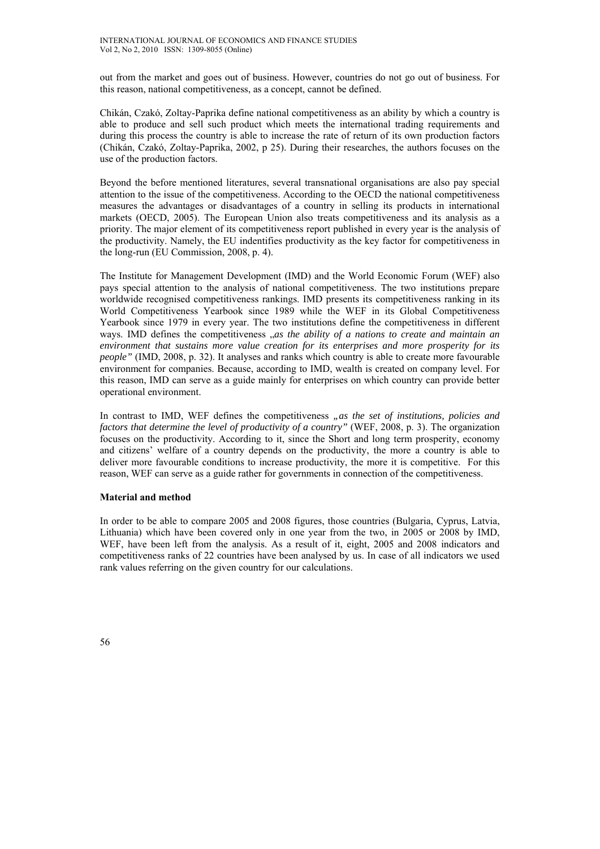out from the market and goes out of business. However, countries do not go out of business. For this reason, national competitiveness, as a concept, cannot be defined.

Chikán, Czakó, Zoltay-Paprika define national competitiveness as an ability by which a country is able to produce and sell such product which meets the international trading requirements and during this process the country is able to increase the rate of return of its own production factors (Chikán, Czakó, Zoltay-Paprika, 2002, p 25). During their researches, the authors focuses on the use of the production factors.

Beyond the before mentioned literatures, several transnational organisations are also pay special attention to the issue of the competitiveness. According to the OECD the national competitiveness measures the advantages or disadvantages of a country in selling its products in international markets (OECD, 2005). The European Union also treats competitiveness and its analysis as a priority. The major element of its competitiveness report published in every year is the analysis of the productivity. Namely, the EU indentifies productivity as the key factor for competitiveness in the long-run (EU Commission, 2008, p. 4).

The Institute for Management Development (IMD) and the World Economic Forum (WEF) also pays special attention to the analysis of national competitiveness. The two institutions prepare worldwide recognised competitiveness rankings. IMD presents its competitiveness ranking in its World Competitiveness Yearbook since 1989 while the WEF in its Global Competitiveness Yearbook since 1979 in every year. The two institutions define the competitiveness in different ways. IMD defines the competitiveness  $\alpha$ *s the ability of a nations to create and maintain an environment that sustains more value creation for its enterprises and more prosperity for its people"* (IMD, 2008, p. 32). It analyses and ranks which country is able to create more favourable environment for companies. Because, according to IMD, wealth is created on company level. For this reason, IMD can serve as a guide mainly for enterprises on which country can provide better operational environment.

In contrast to IMD, WEF defines the competitiveness *nas the set of institutions, policies and factors that determine the level of productivity of a country"* (WEF, 2008, p. 3). The organization focuses on the productivity. According to it, since the Short and long term prosperity, economy and citizens' welfare of a country depends on the productivity, the more a country is able to deliver more favourable conditions to increase productivity, the more it is competitive. For this reason, WEF can serve as a guide rather for governments in connection of the competitiveness.

#### **Material and method**

In order to be able to compare 2005 and 2008 figures, those countries (Bulgaria, Cyprus, Latvia, Lithuania) which have been covered only in one year from the two, in 2005 or 2008 by IMD, WEF, have been left from the analysis. As a result of it, eight, 2005 and 2008 indicators and competitiveness ranks of 22 countries have been analysed by us. In case of all indicators we used rank values referring on the given country for our calculations.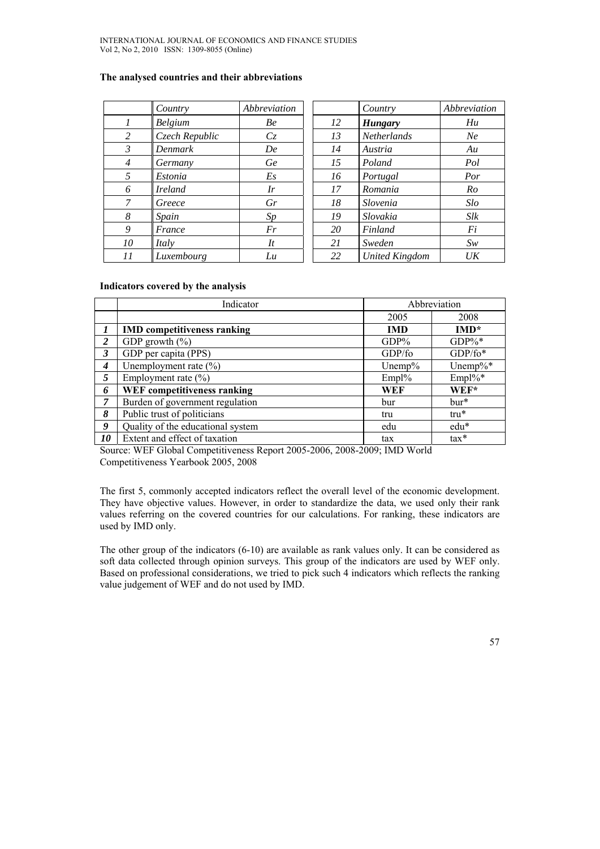# **The analysed countries and their abbreviations**

|                | Country        | Abbreviation  |    | Country               | Abbreviation |
|----------------|----------------|---------------|----|-----------------------|--------------|
|                | <b>Belgium</b> | Be            | 12 | <b>Hungary</b>        | Hu           |
| 2              | Czech Republic | Cz            | 13 | Netherlands           | Ne           |
| 3              | Denmark        | De            | 14 | Austria               | Au           |
| $\overline{4}$ | Germany        | Ge            | 15 | Poland                | Pol          |
| 5              | Estonia        | Es            | 16 | Portugal              | Por          |
| 6              | <b>Ireland</b> | Ir            | 17 | Romania               | Ro           |
| 7              | Greece         | Gr            | 18 | Slovenia              | Slo          |
| 8              | Spain          | Sp            | 19 | Slovakia              | Slk          |
| 9              | France         | Fr            | 20 | Finland               | Fi           |
| 10             | Italy          | $\mathcal{I}$ | 21 | Sweden                | Sw           |
| 11             | Luxembourg     | Lu            | 22 | <b>United Kingdom</b> | UK           |

# **Indicators covered by the analysis**

|                  | Indicator                          |            | Abbreviation |
|------------------|------------------------------------|------------|--------------|
|                  |                                    | 2005       | 2008         |
|                  | <b>IMD</b> competitiveness ranking | <b>IMD</b> | $IMD*$       |
| 2                | GDP growth $(\% )$                 | $GDP\%$    | $GDP\%*$     |
| 3                | GDP per capita (PPS)               | GDP/fo     | $GDP/fo*$    |
| $\boldsymbol{4}$ | Unemployment rate $(\% )$          | Unemp $%$  | Unemp% $*$   |
| 5                | Employment rate $(\% )$            | $Empl\%$   | $Empl\%*$    |
| 6                | <b>WEF</b> competitiveness ranking | WEF        | $WEF*$       |
| $\overline{7}$   | Burden of government regulation    | bur        | $bur*$       |
| 8                | Public trust of politicians        | tru        | $tru^*$      |
| 9                | Quality of the educational system  | edu        | edu*         |
| 10               | Extent and effect of taxation      | tax        | $tax*$       |

Source: WEF Global Competitiveness Report 2005-2006, 2008-2009; IMD World Competitiveness Yearbook 2005, 2008

The first 5, commonly accepted indicators reflect the overall level of the economic development. They have objective values. However, in order to standardize the data, we used only their rank values referring on the covered countries for our calculations. For ranking, these indicators are used by IMD only.

The other group of the indicators (6-10) are available as rank values only. It can be considered as soft data collected through opinion surveys. This group of the indicators are used by WEF only. Based on professional considerations, we tried to pick such 4 indicators which reflects the ranking value judgement of WEF and do not used by IMD.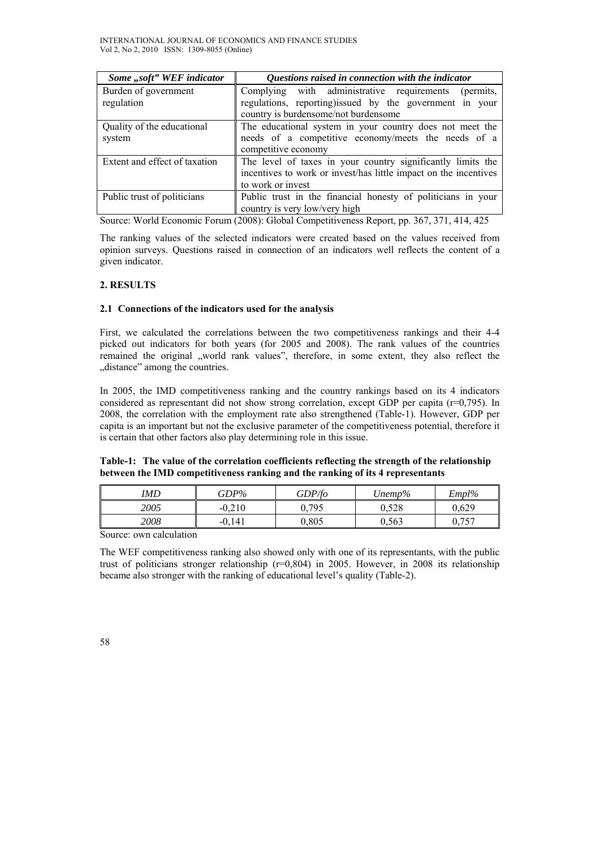| Some "soft" WEF indicator            | Questions raised in connection with the indicator                                                                                                           |
|--------------------------------------|-------------------------------------------------------------------------------------------------------------------------------------------------------------|
| Burden of government<br>regulation   | Complying with administrative requirements<br>(permits,<br>regulations, reporting) issued by the government in your<br>country is burdensome/not burdensome |
| Quality of the educational<br>system | The educational system in your country does not meet the<br>needs of a competitive economy/meets the needs of a<br>competitive economy                      |
| Extent and effect of taxation        | The level of taxes in your country significantly limits the<br>incentives to work or invest/has little impact on the incentives<br>to work or invest        |
| Public trust of politicians          | Public trust in the financial honesty of politicians in your<br>country is very low/very high                                                               |

Source: World Economic Forum (2008): Global Competitiveness Report, pp. 367, 371, 414, 425

The ranking values of the selected indicators were created based on the values received from opinion surveys. Questions raised in connection of an indicators well reflects the content of a given indicator.

# **2. RESULTS**

# **2.1 Connections of the indicators used for the analysis**

First, we calculated the correlations between the two competitiveness rankings and their 4-4 picked out indicators for both years (for 2005 and 2008). The rank values of the countries remained the original "world rank values", therefore, in some extent, they also reflect the "distance" among the countries.

In 2005, the IMD competitiveness ranking and the country rankings based on its 4 indicators considered as representant did not show strong correlation, except GDP per capita (r=0,795). In 2008, the correlation with the employment rate also strengthened (Table-1). However, GDP per capita is an important but not the exclusive parameter of the competitiveness potential, therefore it is certain that other factors also play determining role in this issue.

# **Table-1: The value of the correlation coefficients reflecting the strength of the relationship between the IMD competitiveness ranking and the ranking of its 4 representants**

| IMD  | $GDP\%$  | GDP/fo | Unemp% | Empl%                                      |
|------|----------|--------|--------|--------------------------------------------|
| 2005 | $-0.210$ | 0.795  | 0,528  | 0.629                                      |
| 2008 | 141      | 0,805  | 0,563  | $\overline{a}$<br>$\overline{\phantom{a}}$ |

Source: own calculation

The WEF competitiveness ranking also showed only with one of its representants, with the public trust of politicians stronger relationship (r=0,804) in 2005. However, in 2008 its relationship became also stronger with the ranking of educational level's quality (Table-2).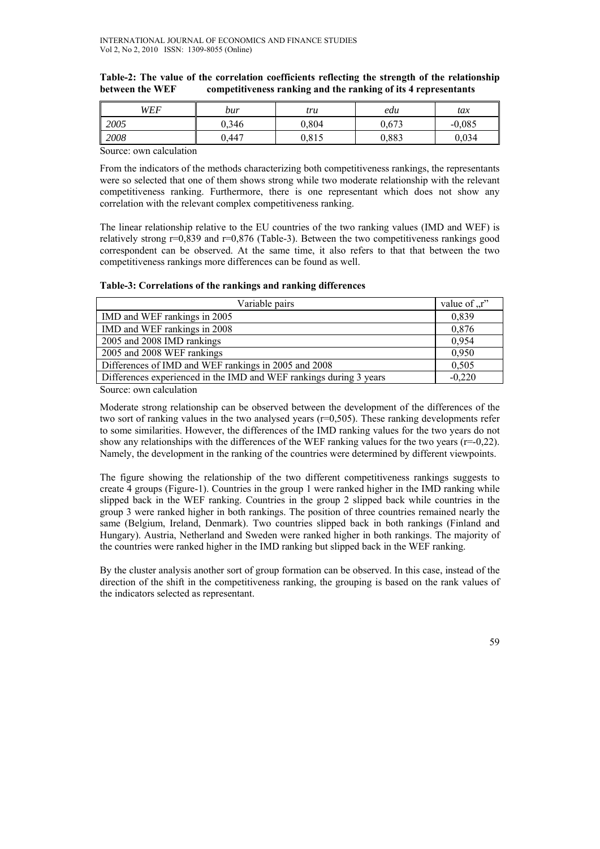#### **Table-2: The value of the correlation coefficients reflecting the strength of the relationship between the WEF competitiveness ranking and the ranking of its 4 representants**

| WEF  | bur   | tru                    | edu   | tax      |
|------|-------|------------------------|-------|----------|
| 2005 | 0,346 | 0.804                  | 0.673 | $-0,085$ |
| 2008 | J.447 | <b>ሰ 01 ሩ</b><br>U.813 | 0.883 | 0.034    |

Source: own calculation

From the indicators of the methods characterizing both competitiveness rankings, the representants were so selected that one of them shows strong while two moderate relationship with the relevant competitiveness ranking. Furthermore, there is one representant which does not show any correlation with the relevant complex competitiveness ranking.

The linear relationship relative to the EU countries of the two ranking values (IMD and WEF) is relatively strong  $r=0.839$  and  $r=0.876$  (Table-3). Between the two competitiveness rankings good correspondent can be observed. At the same time, it also refers to that that between the two competitiveness rankings more differences can be found as well.

# **Table-3: Correlations of the rankings and ranking differences**

| Variable pairs                                                     | value of $\pi$ . |
|--------------------------------------------------------------------|------------------|
| IMD and WEF rankings in 2005                                       | 0.839            |
| IMD and WEF rankings in 2008                                       | 0,876            |
| 2005 and 2008 IMD rankings                                         | 0.954            |
| 2005 and 2008 WEF rankings                                         | 0.950            |
| Differences of IMD and WEF rankings in 2005 and 2008               | 0,505            |
| Differences experienced in the IMD and WEF rankings during 3 years | $-0,220$         |

Source: own calculation

Moderate strong relationship can be observed between the development of the differences of the two sort of ranking values in the two analysed years (r=0,505). These ranking developments refer to some similarities. However, the differences of the IMD ranking values for the two years do not show any relationships with the differences of the WEF ranking values for the two years (r=-0,22). Namely, the development in the ranking of the countries were determined by different viewpoints.

The figure showing the relationship of the two different competitiveness rankings suggests to create 4 groups (Figure-1). Countries in the group 1 were ranked higher in the IMD ranking while slipped back in the WEF ranking. Countries in the group 2 slipped back while countries in the group 3 were ranked higher in both rankings. The position of three countries remained nearly the same (Belgium, Ireland, Denmark). Two countries slipped back in both rankings (Finland and Hungary). Austria, Netherland and Sweden were ranked higher in both rankings. The majority of the countries were ranked higher in the IMD ranking but slipped back in the WEF ranking.

By the cluster analysis another sort of group formation can be observed. In this case, instead of the direction of the shift in the competitiveness ranking, the grouping is based on the rank values of the indicators selected as representant.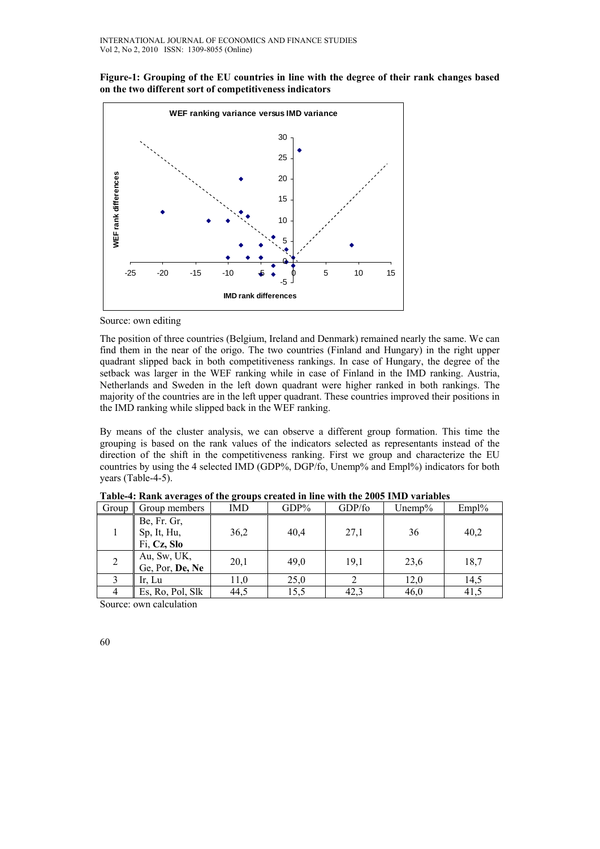**Figure-1: Grouping of the EU countries in line with the degree of their rank changes based on the two different sort of competitiveness indicators** 



Source: own editing

The position of three countries (Belgium, Ireland and Denmark) remained nearly the same. We can find them in the near of the origo. The two countries (Finland and Hungary) in the right upper quadrant slipped back in both competitiveness rankings. In case of Hungary, the degree of the setback was larger in the WEF ranking while in case of Finland in the IMD ranking. Austria, Netherlands and Sweden in the left down quadrant were higher ranked in both rankings. The majority of the countries are in the left upper quadrant. These countries improved their positions in the IMD ranking while slipped back in the WEF ranking.

By means of the cluster analysis, we can observe a different group formation. This time the grouping is based on the rank values of the indicators selected as representants instead of the direction of the shift in the competitiveness ranking. First we group and characterize the EU countries by using the 4 selected IMD (GDP%, DGP/fo, Unemp% and Empl%) indicators for both years (Table-4-5).

| Group | Group members                             | IMD  | $GDP\%$ | GDP/fo | Unemp $%$ | Empl% |
|-------|-------------------------------------------|------|---------|--------|-----------|-------|
|       | Be, Fr. Gr,<br>Sp, It, Hu,<br>Fi, Cz, Slo | 36,2 | 40,4    | 27,1   | 36        | 40,2  |
| 2     | Au, Sw, UK,<br>Ge, Por, De, Ne            | 20,1 | 49,0    | 19,1   | 23,6      | 18,7  |
|       | Ir, Lu                                    | 11,0 | 25,0    |        | 12,0      | 14,5  |
|       | Es, Ro, Pol, Slk                          | 44,5 | 15,5    | 42,3   | 46,0      | 41,5  |

**Table-4: Rank averages of the groups created in line with the 2005 IMD variables** 

Source: own calculation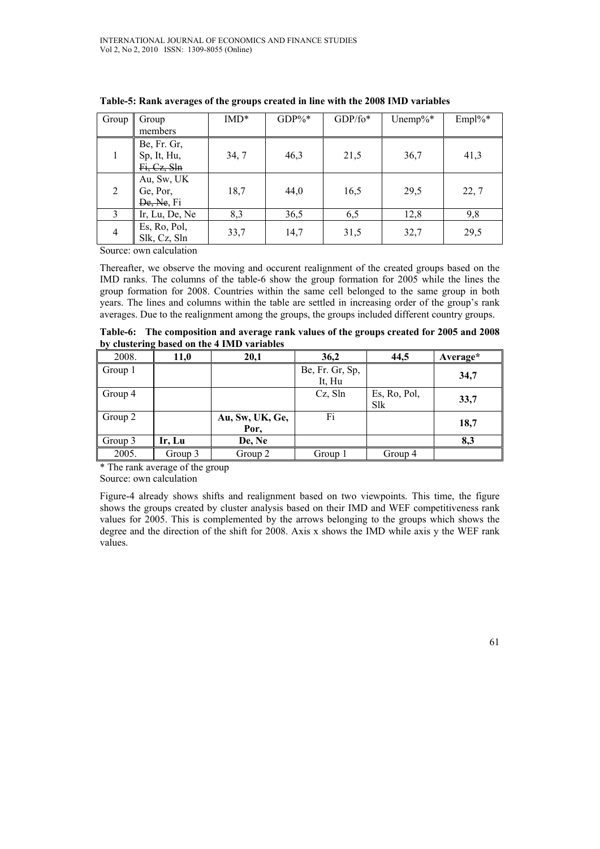| Group | Group<br>members                          | $IMD*$ | $GDP\%*$ | $GDP/fo*$ | Unemp% $*$ | $Empl\%*$ |
|-------|-------------------------------------------|--------|----------|-----------|------------|-----------|
|       | Be, Fr. Gr,<br>Sp, It, Hu,<br>Fi, Cz, Sln | 34,7   | 46,3     | 21,5      | 36,7       | 41,3      |
| 2     | Au, Sw, UK<br>Ge, Por,<br>De, Ne, Fi      | 18,7   | 44,0     | 16,5      | 29,5       | 22, 7     |
| 3     | Ir, Lu, De, Ne                            | 8,3    | 36,5     | 6,5       | 12,8       | 9,8       |
| 4     | Es, Ro, Pol,<br>Slk, Cz, Sln              | 33,7   | 14,7     | 31,5      | 32,7       | 29,5      |

**Table-5: Rank averages of the groups created in line with the 2008 IMD variables** 

Source: own calculation

Thereafter, we observe the moving and occurent realignment of the created groups based on the IMD ranks. The columns of the table-6 show the group formation for 2005 while the lines the group formation for 2008. Countries within the same cell belonged to the same group in both years. The lines and columns within the table are settled in increasing order of the group's rank averages. Due to the realignment among the groups, the groups included different country groups.

**Table-6: The composition and average rank values of the groups created for 2005 and 2008 by clustering based on the 4 IMD variables** 

| 2008.   | 11,0    | 20,1            | 36,2            | 44,5         | Average* |
|---------|---------|-----------------|-----------------|--------------|----------|
| Group 1 |         |                 | Be, Fr. Gr, Sp, |              | 34,7     |
|         |         |                 | It, Hu          |              |          |
| Group 4 |         |                 | $Cz$ , Sln      | Es, Ro, Pol, | 33,7     |
|         |         |                 |                 | Slk          |          |
| Group 2 |         | Au, Sw, UK, Ge, | Fi              |              |          |
|         |         | Por,            |                 |              | 18,7     |
| Group 3 | Ir, Lu  | De, Ne          |                 |              | 8,3      |
| 2005.   | Group 3 | Group 2         | Group 1         | Group 4      |          |

\* The rank average of the group

Source: own calculation

Figure-4 already shows shifts and realignment based on two viewpoints. This time, the figure shows the groups created by cluster analysis based on their IMD and WEF competitiveness rank values for 2005. This is complemented by the arrows belonging to the groups which shows the degree and the direction of the shift for 2008. Axis x shows the IMD while axis y the WEF rank values.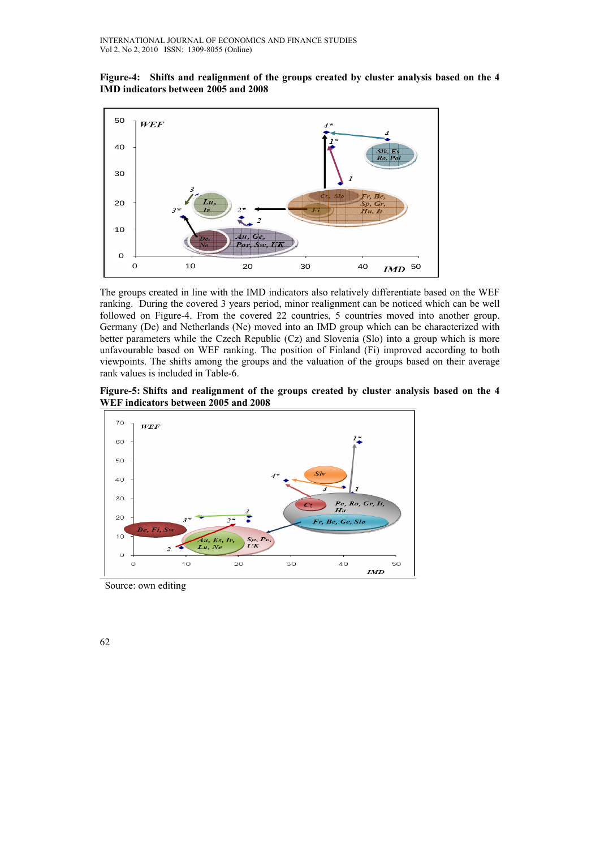**Figure-4: Shifts and realignment of the groups created by cluster analysis based on the 4 IMD indicators between 2005 and 2008** 



The groups created in line with the IMD indicators also relatively differentiate based on the WEF ranking. During the covered 3 years period, minor realignment can be noticed which can be well followed on Figure-4. From the covered 22 countries, 5 countries moved into another group. Germany (De) and Netherlands (Ne) moved into an IMD group which can be characterized with better parameters while the Czech Republic (Cz) and Slovenia (Slo) into a group which is more unfavourable based on WEF ranking. The position of Finland (Fi) improved according to both viewpoints. The shifts among the groups and the valuation of the groups based on their average rank values is included in Table-6.

**Figure-5: Shifts and realignment of the groups created by cluster analysis based on the 4 WEF indicators between 2005 and 2008** 



Source: own editing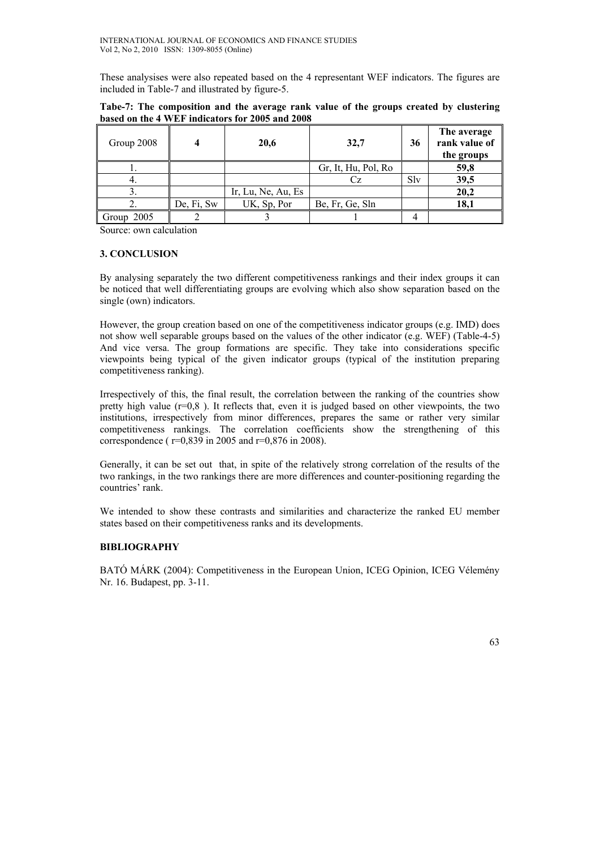These analysises were also repeated based on the 4 representant WEF indicators. The figures are included in Table-7 and illustrated by figure-5.

| Group 2008    |            | 20,6               | 32,7                | 36  | The average<br>rank value of<br>the groups |
|---------------|------------|--------------------|---------------------|-----|--------------------------------------------|
|               |            |                    | Gr, It, Hu, Pol, Ro |     | 59,8                                       |
|               |            |                    |                     | Slv | 39,5                                       |
|               |            | Ir, Lu, Ne, Au, Es |                     |     | 20,2                                       |
|               | De, Fi, Sw | UK, Sp, Por        | Be, Fr, Ge, Sln     |     | 18,1                                       |
| 2005<br>Group |            |                    |                     |     |                                            |

**Tabe-7: The composition and the average rank value of the groups created by clustering based on the 4 WEF indicators for 2005 and 2008** 

Source: own calculation

# **3. CONCLUSION**

By analysing separately the two different competitiveness rankings and their index groups it can be noticed that well differentiating groups are evolving which also show separation based on the single (own) indicators.

However, the group creation based on one of the competitiveness indicator groups (e.g. IMD) does not show well separable groups based on the values of the other indicator (e.g. WEF) (Table-4-5) And vice versa. The group formations are specific. They take into considerations specific viewpoints being typical of the given indicator groups (typical of the institution preparing competitiveness ranking).

Irrespectively of this, the final result, the correlation between the ranking of the countries show pretty high value  $(r=0,8)$ . It reflects that, even it is judged based on other viewpoints, the two institutions, irrespectively from minor differences, prepares the same or rather very similar competitiveness rankings. The correlation coefficients show the strengthening of this correspondence ( r=0,839 in 2005 and r=0,876 in 2008).

Generally, it can be set out that, in spite of the relatively strong correlation of the results of the two rankings, in the two rankings there are more differences and counter-positioning regarding the countries' rank.

We intended to show these contrasts and similarities and characterize the ranked EU member states based on their competitiveness ranks and its developments.

# **BIBLIOGRAPHY**

BATÓ MÁRK (2004): Competitiveness in the European Union, ICEG Opinion, ICEG Vélemény Nr. 16. Budapest, pp. 3-11.